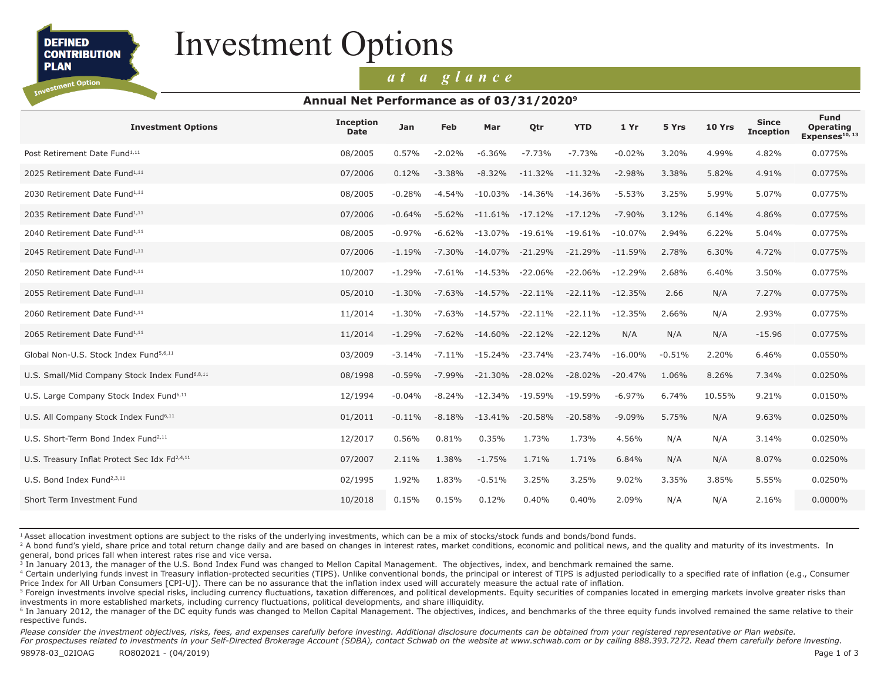**DEFINED CONTRIBUTION PLAN** 

Investment Option

# Investment Options

### *at a glance*

#### **Annual Net Performance as of 03/31/20209**

| <b>Investment Options</b>                                 | <b>Inception</b><br><b>Date</b> | Jan      | Feb       | Mar        | Qtr        | <b>YTD</b> | 1Yr       | 5 Yrs    | 10 Yrs | <b>Since</b><br><b>Inception</b> | <b>Fund</b><br><b>Operating</b><br>Expenses <sup>10, 13</sup> |
|-----------------------------------------------------------|---------------------------------|----------|-----------|------------|------------|------------|-----------|----------|--------|----------------------------------|---------------------------------------------------------------|
| Post Retirement Date Fund <sup>1,11</sup>                 | 08/2005                         | 0.57%    | $-2.02%$  | $-6.36%$   | $-7.73%$   | $-7.73%$   | $-0.02%$  | 3.20%    | 4.99%  | 4.82%                            | 0.0775%                                                       |
| 2025 Retirement Date Fund <sup>1,11</sup>                 | 07/2006                         | 0.12%    | $-3.38%$  | $-8.32%$   | $-11.32%$  | $-11.32%$  | $-2.98%$  | 3.38%    | 5.82%  | 4.91%                            | 0.0775%                                                       |
| 2030 Retirement Date Fund <sup>1,11</sup>                 | 08/2005                         | $-0.28%$ | $-4.54%$  | $-10.03\%$ | $-14.36\%$ | $-14.36%$  | $-5.53%$  | 3.25%    | 5.99%  | 5.07%                            | 0.0775%                                                       |
| 2035 Retirement Date Fund <sup>1,11</sup>                 | 07/2006                         | $-0.64%$ | $-5.62%$  | $-11.61%$  | $-17.12\%$ | $-17.12%$  | $-7.90%$  | 3.12%    | 6.14%  | 4.86%                            | 0.0775%                                                       |
| 2040 Retirement Date Fund <sup>1,11</sup>                 | 08/2005                         | $-0.97%$ | $-6.62%$  | $-13.07\%$ | $-19.61%$  | $-19.61%$  | $-10.07%$ | 2.94%    | 6.22%  | 5.04%                            | 0.0775%                                                       |
| 2045 Retirement Date Fund <sup>1,11</sup>                 | 07/2006                         | $-1.19%$ | $-7.30%$  | $-14.07\%$ | $-21.29%$  | $-21.29%$  | $-11.59%$ | 2.78%    | 6.30%  | 4.72%                            | 0.0775%                                                       |
| 2050 Retirement Date Fund <sup>1,11</sup>                 | 10/2007                         | $-1.29%$ | $-7.61%$  | -14.53%    | $-22.06\%$ | $-22.06%$  | $-12.29%$ | 2.68%    | 6.40%  | 3.50%                            | 0.0775%                                                       |
| 2055 Retirement Date Fund <sup>1,11</sup>                 | 05/2010                         | $-1.30%$ | $-7.63\%$ | $-14.57\%$ | $-22.11\%$ | $-22.11%$  | $-12.35%$ | 2.66     | N/A    | 7.27%                            | 0.0775%                                                       |
| 2060 Retirement Date Fund <sup>1,11</sup>                 | 11/2014                         | $-1.30%$ | $-7.63\%$ | -14.57%    | $-22.11\%$ | $-22.11\%$ | $-12.35%$ | 2.66%    | N/A    | 2.93%                            | 0.0775%                                                       |
| 2065 Retirement Date Fund <sup>1,11</sup>                 | 11/2014                         | $-1.29%$ | $-7.62%$  | $-14.60\%$ | $-22.12%$  | $-22.12%$  | N/A       | N/A      | N/A    | $-15.96$                         | 0.0775%                                                       |
| Global Non-U.S. Stock Index Fund <sup>5,6,11</sup>        | 03/2009                         | $-3.14%$ | $-7.11\%$ | $-15.24%$  | -23.74%    | $-23.74%$  | $-16.00%$ | $-0.51%$ | 2.20%  | 6.46%                            | 0.0550%                                                       |
| U.S. Small/Mid Company Stock Index Fund <sup>6,8,11</sup> | 08/1998                         | $-0.59%$ | $-7.99%$  | $-21.30%$  | $-28.02%$  | $-28.02%$  | $-20.47%$ | 1.06%    | 8.26%  | 7.34%                            | 0.0250%                                                       |
| U.S. Large Company Stock Index Fund <sup>6,11</sup>       | 12/1994                         | $-0.04%$ | $-8.24%$  | $-12.34%$  | $-19.59%$  | $-19.59%$  | $-6.97%$  | 6.74%    | 10.55% | 9.21%                            | 0.0150%                                                       |
| U.S. All Company Stock Index Fund <sup>6,11</sup>         | 01/2011                         | $-0.11%$ | $-8.18%$  | $-13.41%$  | $-20.58%$  | $-20.58%$  | $-9.09%$  | 5.75%    | N/A    | 9.63%                            | 0.0250%                                                       |
| U.S. Short-Term Bond Index Fund <sup>2,11</sup>           | 12/2017                         | 0.56%    | 0.81%     | 0.35%      | 1.73%      | 1.73%      | 4.56%     | N/A      | N/A    | 3.14%                            | 0.0250%                                                       |
| U.S. Treasury Inflat Protect Sec Idx Fd <sup>2,4,11</sup> | 07/2007                         | 2.11%    | 1.38%     | $-1.75%$   | 1.71%      | 1.71%      | 6.84%     | N/A      | N/A    | 8.07%                            | 0.0250%                                                       |
| U.S. Bond Index Fund <sup>2,3,11</sup>                    | 02/1995                         | 1.92%    | 1.83%     | $-0.51%$   | 3.25%      | 3.25%      | 9.02%     | 3.35%    | 3.85%  | 5.55%                            | 0.0250%                                                       |
| Short Term Investment Fund                                | 10/2018                         | 0.15%    | 0.15%     | 0.12%      | 0.40%      | 0.40%      | 2.09%     | N/A      | N/A    | 2.16%                            | 0.0000%                                                       |
|                                                           |                                 |          |           |            |            |            |           |          |        |                                  |                                                               |

<sup>1</sup> Asset allocation investment options are subject to the risks of the underlying investments, which can be a mix of stocks/stock funds and bonds/bond funds.

<sup>2</sup> A bond fund's yield, share price and total return change daily and are based on changes in interest rates, market conditions, economic and political news, and the quality and maturity of its investments. In general, bond prices fall when interest rates rise and vice versa.

<sup>3</sup> In January 2013, the manager of the U.S. Bond Index Fund was changed to Mellon Capital Management. The objectives, index, and benchmark remained the same.

<sup>4</sup> Certain underlying funds invest in Treasury inflation-protected securities (TIPS). Unlike conventional bonds, the principal or interest of TIPS is adjusted periodically to a specified rate of inflation (e.g., Consumer Price Index for All Urban Consumers [CPI-U]). There can be no assurance that the inflation index used will accurately measure the actual rate of inflation.

<sup>5</sup> Foreign investments involve special risks, including currency fluctuations, taxation differences, and political developments. Equity securities of companies located in emerging markets involve greater risks than investments in more established markets, including currency fluctuations, political developments, and share illiquidity.

<sup>6</sup> In January 2012, the manager of the DC equity funds was changed to Mellon Capital Management. The objectives, indices, and benchmarks of the three equity funds involved remained the same relative to their respective funds.

Please consider the investment objectives, risks, fees, and expenses carefully before investing. Additional disclosure documents can be obtained from your registered representative or Plan website.

*For prospectuses related to investments in your Self-Directed Brokerage Account (SDBA), contact Schwab on the website at www.schwab.com or by calling 888.393.7272. Read them carefully before investing.*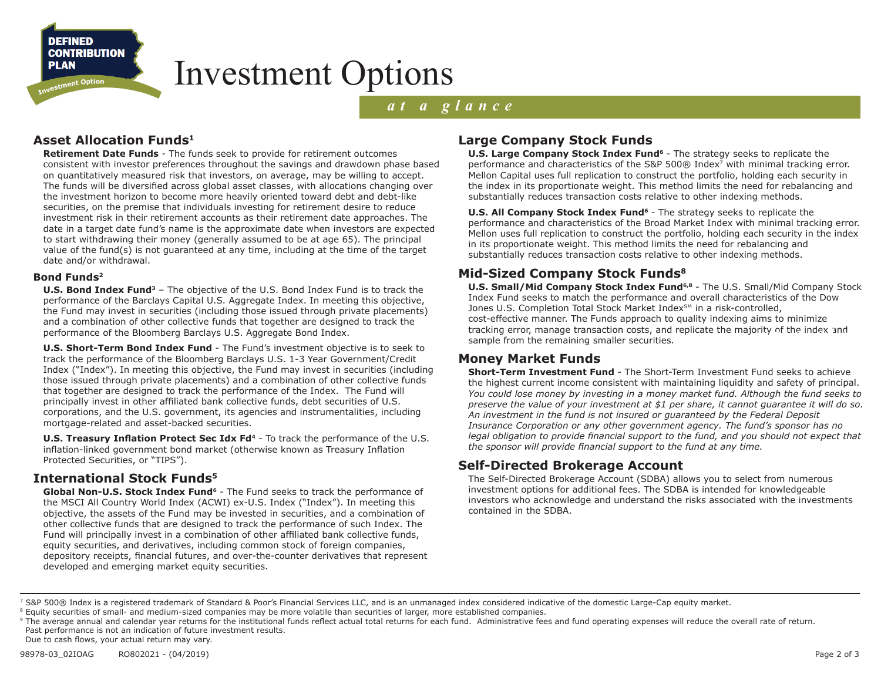**DEFINED CONTRIBUTION PLAN** 

stment Option

## Investment Options

## *at a glance*

### **Asset Allocation Funds1**

**Retirement Date Funds** - The funds seek to provide for retirement outcomes consistent with investor preferences throughout the savings and drawdown phase based on quantitatively measured risk that investors, on average, may be willing to accept. The funds will be diversified across global asset classes, with allocations changing over the investment horizon to become more heavily oriented toward debt and debt-like securities, on the premise that individuals investing for retirement desire to reduce investment risk in their retirement accounts as their retirement date approaches. The date in a target date fund's name is the approximate date when investors are expected to start withdrawing their money (generally assumed to be at age 65). The principal value of the fund(s) is not guaranteed at any time, including at the time of the target date and/or withdrawal.

#### **Bond Funds2**

**U.S. Bond Index Fund3** – The objective of the U.S. Bond Index Fund is to track the performance of the Barclays Capital U.S. Aggregate Index. In meeting this objective, the Fund may invest in securities (including those issued through private placements) and a combination of other collective funds that together are designed to track the performance of the Bloomberg Barclays U.S. Aggregate Bond Index.

**U.S. Short-Term Bond Index Fund** - The Fund's investment objective is to seek to track the performance of the Bloomberg Barclays U.S. 1-3 Year Government/Credit Index ("Index"). In meeting this objective, the Fund may invest in securities (including those issued through private placements) and a combination of other collective funds that together are designed to track the performance of the Index. The Fund will principally invest in other affiliated bank collective funds, debt securities of U.S. corporations, and the U.S. government, its agencies and instrumentalities, including mortgage-related and asset-backed securities.

**U.S. Treasury Inflation Protect Sec Idx Fd<sup>4</sup>** - To track the performance of the U.S. inflation-linked government bond market (otherwise known as Treasury Inflation Protected Securities, or "TIPS").

#### **International Stock Funds5**

Global Non-U.S. Stock Index Fund<sup>6</sup> - The Fund seeks to track the performance of the MSCI All Country World Index (ACWI) ex-U.S. Index ("Index"). In meeting this objective, the assets of the Fund may be invested in securities, and a combination of other collective funds that are designed to track the performance of such Index. The Fund will principally invest in a combination of other affiliated bank collective funds, equity securities, and derivatives, including common stock of foreign companies, depository receipts, financial futures, and over-the-counter derivatives that represent developed and emerging market equity securities.

### **Large Company Stock Funds**

**U.S. Large Company Stock Index Fund<sup>6</sup>** - The strategy seeks to replicate the performance and characteristics of the S&P 500 $\odot$  Index<sup>7</sup> with minimal tracking error. Mellon Capital uses full replication to construct the portfolio, holding each security in the index in its proportionate weight. This method limits the need for rebalancing and substantially reduces transaction costs relative to other indexing methods.

**U.S. All Company Stock Index Fund<sup>6</sup>** - The strategy seeks to replicate the performance and characteristics of the Broad Market Index with minimal tracking error. Mellon uses full replication to construct the portfolio, holding each security in the index in its proportionate weight. This method limits the need for rebalancing and substantially reduces transaction costs relative to other indexing methods.

#### **Mid-Sized Company Stock Funds8**

**U.S. Small/Mid Company Stock Index Fund6,8** - The U.S. Small/Mid Company Stock Index Fund seeks to match the performance and overall characteristics of the Dow Jones U.S. Completion Total Stock Market Index<sup>SM</sup> in a risk-controlled, cost-effective manner. The Funds approach to quality indexing aims to minimize tracking error, manage transaction costs, and replicate the majority of the index and<br>sample from the remaining smaller securities. sample from the remaining smaller securities.

#### **Money Market Funds**

**Short-Term Investment Fund** - The Short-Term Investment Fund seeks to achieve the highest current income consistent with maintaining liquidity and safety of principal. *You could lose money by investing in a money market fund. Although the fund seeks to preserve the value of your investment at \$1 per share, it cannot guarantee it will do so. An investment in the fund is not insured or guaranteed by the Federal Deposit Insurance Corporation or any other government agency. The fund's sponsor has no legal obligation to provide financial support to the fund, and you should not expect that the sponsor will provide financial support to the fund at any time.*

#### **Self-Directed Brokerage Account**

The Self-Directed Brokerage Account (SDBA) allows you to select from numerous investment options for additional fees. The SDBA is intended for knowledgeable investors who acknowledge and understand the risks associated with the investments contained in the SDBA.

<sup>&</sup>lt;sup>7</sup> S&P 500® Index is a registered trademark of Standard & Poor's Financial Services LLC, and is an unmanaged index considered indicative of the domestic Large-Cap equity market.

<sup>&</sup>lt;sup>8</sup> Equity securities of small- and medium-sized companies may be more volatile than securities of larger, more established companies.

<sup>&</sup>lt;sup>9</sup> The average annual and calendar year returns for the institutional funds reflect actual total returns for each fund. Administrative fees and fund operating expenses will reduce the overall rate of return. Past performance is not an indication of future investment results.

Due to cash flows, your actual return may vary.